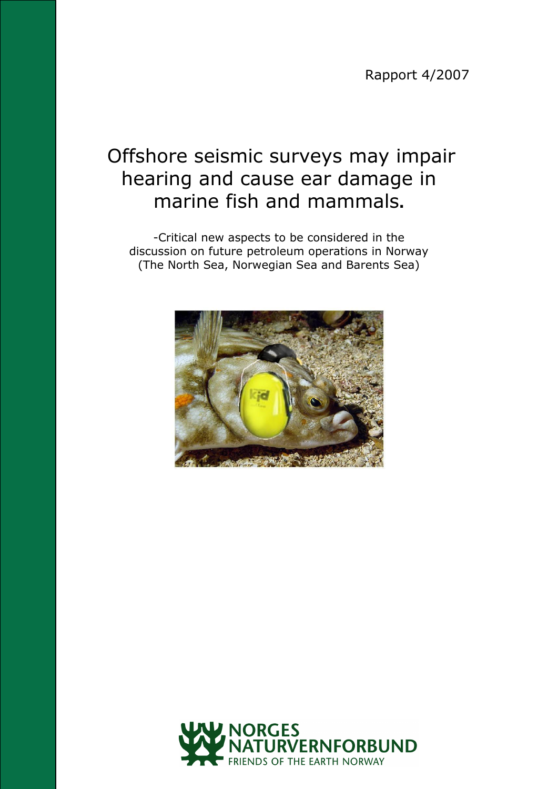Rapport 4/2007

# Offshore seismic surveys may impair hearing and cause ear damage in marine fish and mammals**.**

-Critical new aspects to be considered in the discussion on future petroleum operations in Norway (The North Sea, Norwegian Sea and Barents Sea)



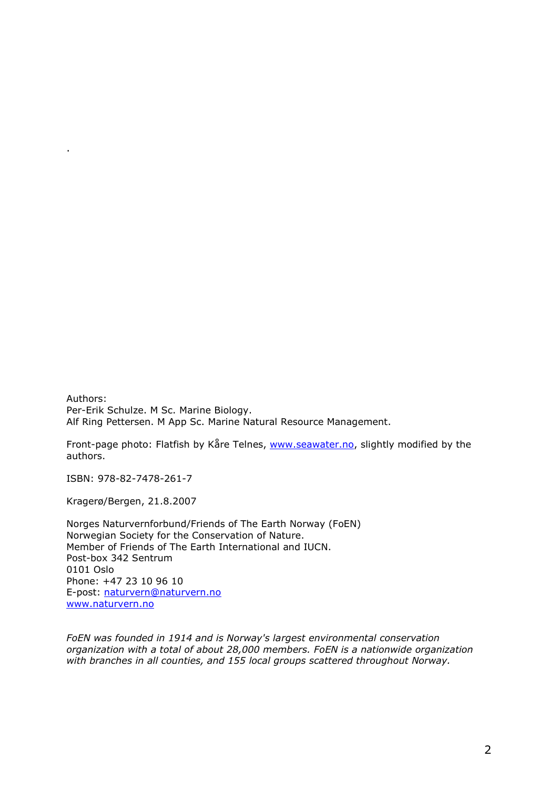Authors: Per-Erik Schulze. M Sc. Marine Biology. Alf Ring Pettersen. M App Sc. Marine Natural Resource Management.

Front-page photo: Flatfish by Kåre Telnes, [www.seawater.no,](http://www.seawater.no/) slightly modified by the authors.

ISBN: 978-82-7478-261-7

.

Kragerø/Bergen, 21.8.2007

Norges Naturvernforbund/Friends of The Earth Norway (FoEN) Norwegian Society for the Conservation of Nature. Member of Friends of The Earth International and IUCN. Post-box 342 Sentrum 0101 Oslo Phone: +47 23 10 96 10 E-post: [naturvern@naturvern.no](mailto:naturvern@naturvern.no) [www.naturvern.no](http://www.naturvern.no/)

*FoEN was founded in 1914 and is Norway's largest environmental conservation organization with a total of about 28,000 members. FoEN is a nationwide organization with branches in all counties, and 155 local groups scattered throughout Norway.*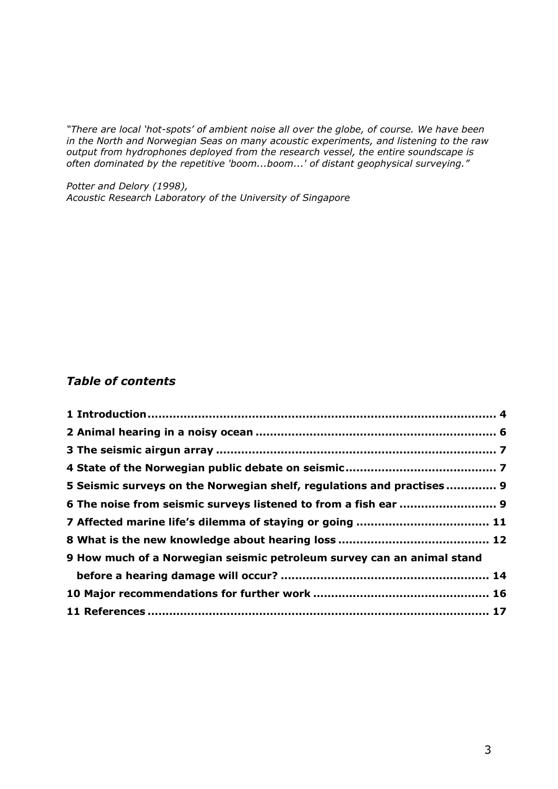*"There are local "hot-spots" of ambient noise all over the globe, of course. We have been in the North and Norwegian Seas on many acoustic experiments, and listening to the raw output from hydrophones deployed from the research vessel, the entire soundscape is often dominated by the repetitive 'boom...boom...' of distant geophysical surveying."*

*Potter and Delory (1998), Acoustic Research Laboratory of the University of Singapore*

#### *Table of contents*

| 5 Seismic surveys on the Norwegian shelf, regulations and practises 9  |  |
|------------------------------------------------------------------------|--|
| 6 The noise from seismic surveys listened to from a fish ear  9        |  |
|                                                                        |  |
|                                                                        |  |
| 9 How much of a Norwegian seismic petroleum survey can an animal stand |  |
|                                                                        |  |
|                                                                        |  |
|                                                                        |  |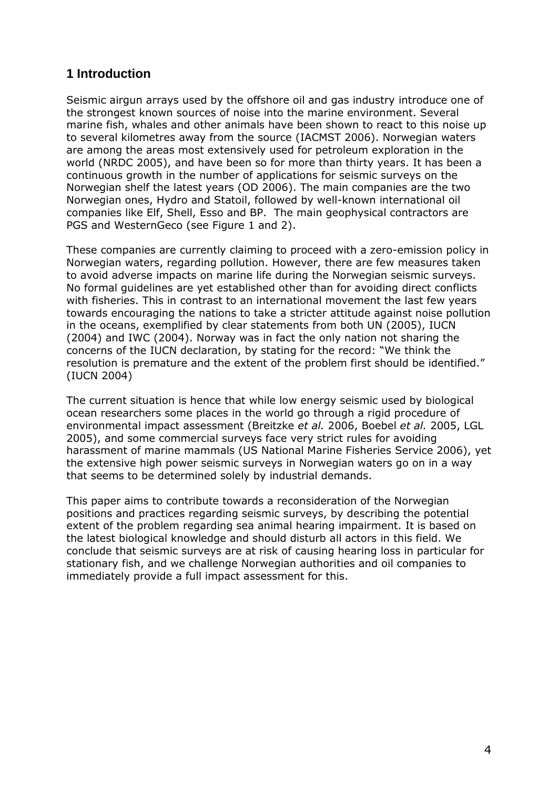# <span id="page-3-0"></span>**1 Introduction**

Seismic airgun arrays used by the offshore oil and gas industry introduce one of the strongest known sources of noise into the marine environment. Several marine fish, whales and other animals have been shown to react to this noise up to several kilometres away from the source (IACMST 2006). Norwegian waters are among the areas most extensively used for petroleum exploration in the world (NRDC 2005), and have been so for more than thirty years. It has been a continuous growth in the number of applications for seismic surveys on the Norwegian shelf the latest years (OD 2006). The main companies are the two Norwegian ones, Hydro and Statoil, followed by well-known international oil companies like Elf, Shell, Esso and BP. The main geophysical contractors are PGS and WesternGeco (see Figure 1 and 2).

These companies are currently claiming to proceed with a zero-emission policy in Norwegian waters, regarding pollution. However, there are few measures taken to avoid adverse impacts on marine life during the Norwegian seismic surveys. No formal guidelines are yet established other than for avoiding direct conflicts with fisheries. This in contrast to an international movement the last few years towards encouraging the nations to take a stricter attitude against noise pollution in the oceans, exemplified by clear statements from both UN (2005), IUCN (2004) and IWC (2004). Norway was in fact the only nation not sharing the concerns of the IUCN declaration, by stating for the record: "We think the resolution is premature and the extent of the problem first should be identified." (IUCN 2004)

The current situation is hence that while low energy seismic used by biological ocean researchers some places in the world go through a rigid procedure of environmental impact assessment (Breitzke *et al.* 2006, Boebel *et al.* 2005, LGL 2005), and some commercial surveys face very strict rules for avoiding harassment of marine mammals (US National Marine Fisheries Service 2006), yet the extensive high power seismic surveys in Norwegian waters go on in a way that seems to be determined solely by industrial demands.

This paper aims to contribute towards a reconsideration of the Norwegian positions and practices regarding seismic surveys, by describing the potential extent of the problem regarding sea animal hearing impairment. It is based on the latest biological knowledge and should disturb all actors in this field. We conclude that seismic surveys are at risk of causing hearing loss in particular for stationary fish, and we challenge Norwegian authorities and oil companies to immediately provide a full impact assessment for this.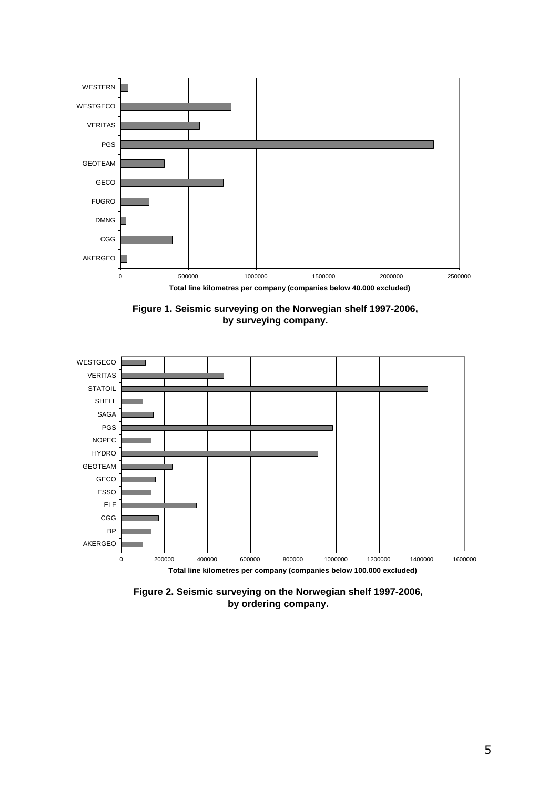





**Figure 2. Seismic surveying on the Norwegian shelf 1997-2006, by ordering company.**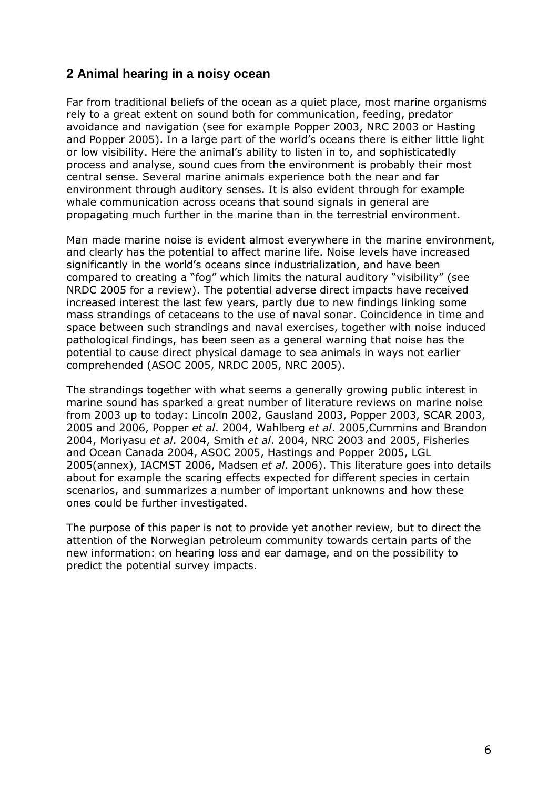# <span id="page-5-0"></span>**2 Animal hearing in a noisy ocean**

Far from traditional beliefs of the ocean as a quiet place, most marine organisms rely to a great extent on sound both for communication, feeding, predator avoidance and navigation (see for example Popper 2003, NRC 2003 or Hasting and Popper 2005). In a large part of the world's oceans there is either little light or low visibility. Here the animal's ability to listen in to, and sophisticatedly process and analyse, sound cues from the environment is probably their most central sense. Several marine animals experience both the near and far environment through auditory senses. It is also evident through for example whale communication across oceans that sound signals in general are propagating much further in the marine than in the terrestrial environment.

Man made marine noise is evident almost everywhere in the marine environment, and clearly has the potential to affect marine life. Noise levels have increased significantly in the world's oceans since industrialization, and have been compared to creating a "fog" which limits the natural auditory "visibility" (see NRDC 2005 for a review). The potential adverse direct impacts have received increased interest the last few years, partly due to new findings linking some mass strandings of cetaceans to the use of naval sonar. Coincidence in time and space between such strandings and naval exercises, together with noise induced pathological findings, has been seen as a general warning that noise has the potential to cause direct physical damage to sea animals in ways not earlier comprehended (ASOC 2005, NRDC 2005, NRC 2005).

The strandings together with what seems a generally growing public interest in marine sound has sparked a great number of literature reviews on marine noise from 2003 up to today: Lincoln 2002, Gausland 2003, Popper 2003, SCAR 2003, 2005 and 2006, Popper *et al*. 2004, Wahlberg *et al*. 2005,Cummins and Brandon 2004, Moriyasu *et al*. 2004, Smith *et al*. 2004, NRC 2003 and 2005, Fisheries and Ocean Canada 2004, ASOC 2005, Hastings and Popper 2005, LGL 2005(annex), IACMST 2006, Madsen *et al*. 2006). This literature goes into details about for example the scaring effects expected for different species in certain scenarios, and summarizes a number of important unknowns and how these ones could be further investigated.

The purpose of this paper is not to provide yet another review, but to direct the attention of the Norwegian petroleum community towards certain parts of the new information: on hearing loss and ear damage, and on the possibility to predict the potential survey impacts.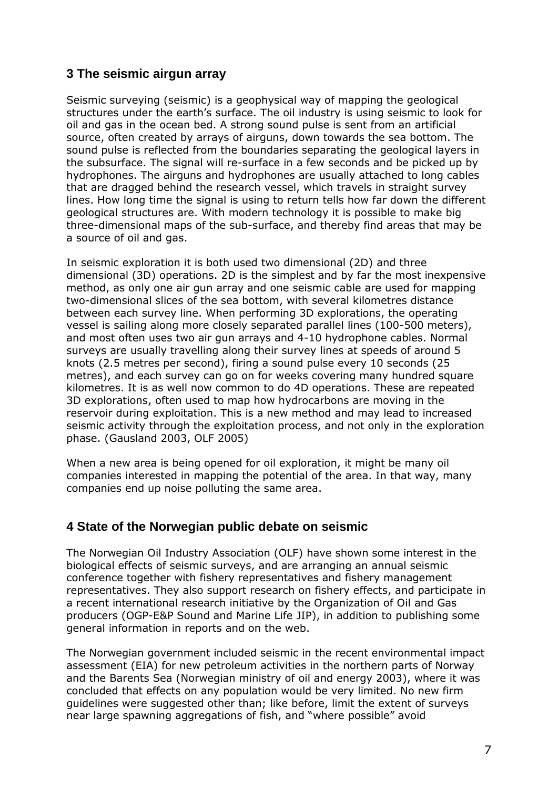# <span id="page-6-0"></span>**3 The seismic airgun array**

Seismic surveying (seismic) is a geophysical way of mapping the geological structures under the earth's surface. The oil industry is using seismic to look for oil and gas in the ocean bed. A strong sound pulse is sent from an artificial source, often created by arrays of airguns, down towards the sea bottom. The sound pulse is reflected from the boundaries separating the geological layers in the subsurface. The signal will re-surface in a few seconds and be picked up by hydrophones. The airguns and hydrophones are usually attached to long cables that are dragged behind the research vessel, which travels in straight survey lines. How long time the signal is using to return tells how far down the different geological structures are. With modern technology it is possible to make big three-dimensional maps of the sub-surface, and thereby find areas that may be a source of oil and gas.

In seismic exploration it is both used two dimensional (2D) and three dimensional (3D) operations. 2D is the simplest and by far the most inexpensive method, as only one air gun array and one seismic cable are used for mapping two-dimensional slices of the sea bottom, with several kilometres distance between each survey line. When performing 3D explorations, the operating vessel is sailing along more closely separated parallel lines (100-500 meters), and most often uses two air gun arrays and 4-10 hydrophone cables. Normal surveys are usually travelling along their survey lines at speeds of around 5 knots (2.5 metres per second), firing a sound pulse every 10 seconds (25 metres), and each survey can go on for weeks covering many hundred square kilometres. It is as well now common to do 4D operations. These are repeated 3D explorations, often used to map how hydrocarbons are moving in the reservoir during exploitation. This is a new method and may lead to increased seismic activity through the exploitation process, and not only in the exploration phase. (Gausland 2003, OLF 2005)

When a new area is being opened for oil exploration, it might be many oil companies interested in mapping the potential of the area. In that way, many companies end up noise polluting the same area.

#### <span id="page-6-1"></span>**4 State of the Norwegian public debate on seismic**

The Norwegian Oil Industry Association (OLF) have shown some interest in the biological effects of seismic surveys, and are arranging an annual seismic conference together with fishery representatives and fishery management representatives. They also support research on fishery effects, and participate in a recent international research initiative by the Organization of Oil and Gas producers (OGP-E&P Sound and Marine Life JIP), in addition to publishing some general information in reports and on the web.

The Norwegian government included seismic in the recent environmental impact assessment (EIA) for new petroleum activities in the northern parts of Norway and the Barents Sea (Norwegian ministry of oil and energy 2003), where it was concluded that effects on any population would be very limited. No new firm guidelines were suggested other than; like before, limit the extent of surveys near large spawning aggregations of fish, and "where possible" avoid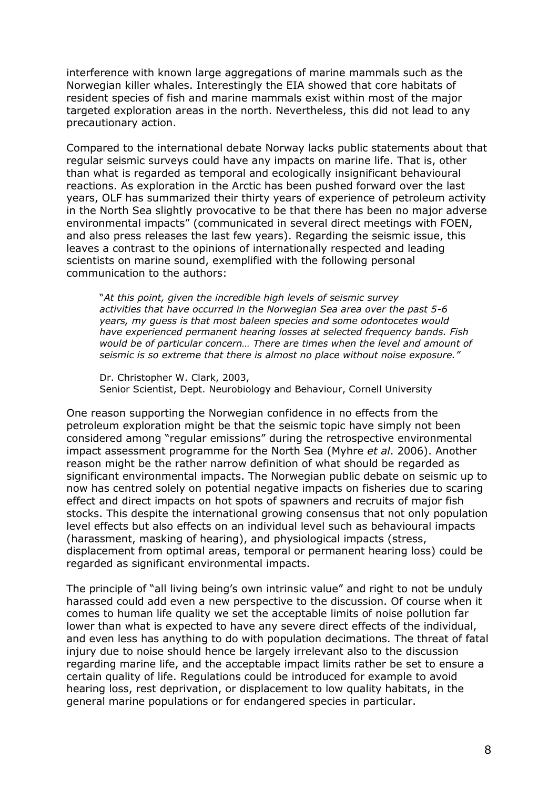interference with known large aggregations of marine mammals such as the Norwegian killer whales. Interestingly the EIA showed that core habitats of resident species of fish and marine mammals exist within most of the major targeted exploration areas in the north. Nevertheless, this did not lead to any precautionary action.

Compared to the international debate Norway lacks public statements about that regular seismic surveys could have any impacts on marine life. That is, other than what is regarded as temporal and ecologically insignificant behavioural reactions. As exploration in the Arctic has been pushed forward over the last years, OLF has summarized their thirty years of experience of petroleum activity in the North Sea slightly provocative to be that there has been no major adverse environmental impacts" (communicated in several direct meetings with FOEN, and also press releases the last few years). Regarding the seismic issue, this leaves a contrast to the opinions of internationally respected and leading scientists on marine sound, exemplified with the following personal communication to the authors:

"*At this point, given the incredible high levels of seismic survey activities that have occurred in the Norwegian Sea area over the past 5-6 years, my guess is that most baleen species and some odontocetes would have experienced permanent hearing losses at selected frequency bands. Fish would be of particular concern… There are times when the level and amount of seismic is so extreme that there is almost no place without noise exposure."*

Dr. Christopher W. Clark, 2003, Senior Scientist, Dept. Neurobiology and Behaviour, Cornell University

One reason supporting the Norwegian confidence in no effects from the petroleum exploration might be that the seismic topic have simply not been considered among "regular emissions" during the retrospective environmental impact assessment programme for the North Sea (Myhre *et al*. 2006). Another reason might be the rather narrow definition of what should be regarded as significant environmental impacts. The Norwegian public debate on seismic up to now has centred solely on potential negative impacts on fisheries due to scaring effect and direct impacts on hot spots of spawners and recruits of major fish stocks. This despite the international growing consensus that not only population level effects but also effects on an individual level such as behavioural impacts (harassment, masking of hearing), and physiological impacts (stress, displacement from optimal areas, temporal or permanent hearing loss) could be regarded as significant environmental impacts.

The principle of "all living being's own intrinsic value" and right to not be unduly harassed could add even a new perspective to the discussion. Of course when it comes to human life quality we set the acceptable limits of noise pollution far lower than what is expected to have any severe direct effects of the individual, and even less has anything to do with population decimations. The threat of fatal injury due to noise should hence be largely irrelevant also to the discussion regarding marine life, and the acceptable impact limits rather be set to ensure a certain quality of life. Regulations could be introduced for example to avoid hearing loss, rest deprivation, or displacement to low quality habitats, in the general marine populations or for endangered species in particular.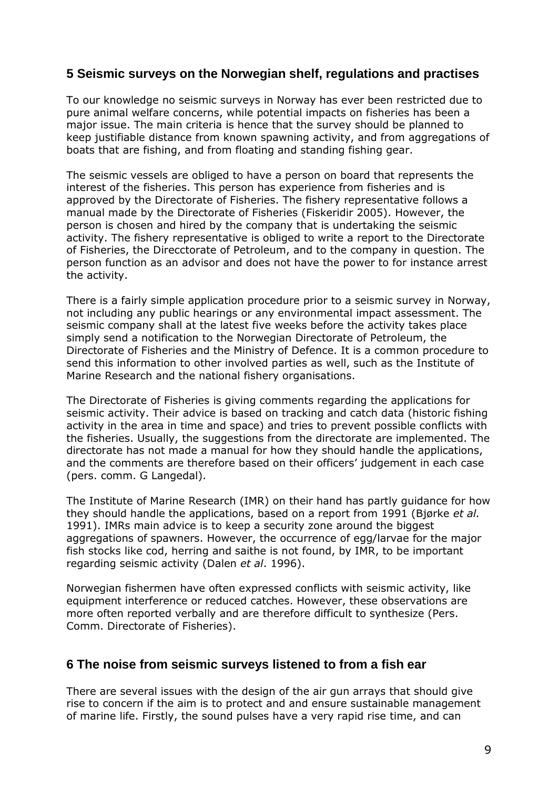## <span id="page-8-0"></span>**5 Seismic surveys on the Norwegian shelf, regulations and practises**

To our knowledge no seismic surveys in Norway has ever been restricted due to pure animal welfare concerns, while potential impacts on fisheries has been a major issue. The main criteria is hence that the survey should be planned to keep justifiable distance from known spawning activity, and from aggregations of boats that are fishing, and from floating and standing fishing gear.

The seismic vessels are obliged to have a person on board that represents the interest of the fisheries. This person has experience from fisheries and is approved by the Directorate of Fisheries. The fishery representative follows a manual made by the Directorate of Fisheries (Fiskeridir 2005). However, the person is chosen and hired by the company that is undertaking the seismic activity. The fishery representative is obliged to write a report to the Directorate of Fisheries, the Direcctorate of Petroleum, and to the company in question. The person function as an advisor and does not have the power to for instance arrest the activity.

There is a fairly simple application procedure prior to a seismic survey in Norway, not including any public hearings or any environmental impact assessment. The seismic company shall at the latest five weeks before the activity takes place simply send a notification to the Norwegian Directorate of Petroleum, the Directorate of Fisheries and the Ministry of Defence. It is a common procedure to send this information to other involved parties as well, such as the Institute of Marine Research and the national fishery organisations.

The Directorate of Fisheries is giving comments regarding the applications for seismic activity. Their advice is based on tracking and catch data (historic fishing activity in the area in time and space) and tries to prevent possible conflicts with the fisheries. Usually, the suggestions from the directorate are implemented. The directorate has not made a manual for how they should handle the applications, and the comments are therefore based on their officers' judgement in each case (pers. comm. G Langedal).

The Institute of Marine Research (IMR) on their hand has partly guidance for how they should handle the applications, based on a report from 1991 (Bjørke *et al.* 1991). IMRs main advice is to keep a security zone around the biggest aggregations of spawners. However, the occurrence of egg/larvae for the major fish stocks like cod, herring and saithe is not found, by IMR, to be important regarding seismic activity (Dalen *et al*. 1996).

Norwegian fishermen have often expressed conflicts with seismic activity, like equipment interference or reduced catches. However, these observations are more often reported verbally and are therefore difficult to synthesize (Pers. Comm. Directorate of Fisheries).

#### <span id="page-8-1"></span>**6 The noise from seismic surveys listened to from a fish ear**

There are several issues with the design of the air gun arrays that should give rise to concern if the aim is to protect and and ensure sustainable management of marine life. Firstly, the sound pulses have a very rapid rise time, and can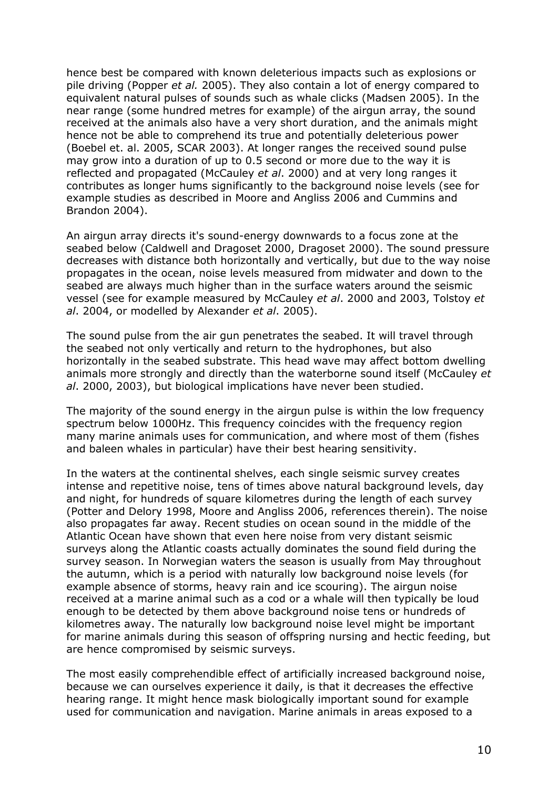hence best be compared with known deleterious impacts such as explosions or pile driving (Popper *et al.* 2005). They also contain a lot of energy compared to equivalent natural pulses of sounds such as whale clicks (Madsen 2005). In the near range (some hundred metres for example) of the airgun array, the sound received at the animals also have a very short duration, and the animals might hence not be able to comprehend its true and potentially deleterious power (Boebel et. al. 2005, SCAR 2003). At longer ranges the received sound pulse may grow into a duration of up to 0.5 second or more due to the way it is reflected and propagated (McCauley *et al*. 2000) and at very long ranges it contributes as longer hums significantly to the background noise levels (see for example studies as described in Moore and Angliss 2006 and Cummins and Brandon 2004).

An airgun array directs it's sound-energy downwards to a focus zone at the seabed below (Caldwell and Dragoset 2000, Dragoset 2000). The sound pressure decreases with distance both horizontally and vertically, but due to the way noise propagates in the ocean, noise levels measured from midwater and down to the seabed are always much higher than in the surface waters around the seismic vessel (see for example measured by McCauley *et al*. 2000 and 2003, Tolstoy *et al*. 2004, or modelled by Alexander *et al*. 2005).

The sound pulse from the air gun penetrates the seabed. It will travel through the seabed not only vertically and return to the hydrophones, but also horizontally in the seabed substrate. This head wave may affect bottom dwelling animals more strongly and directly than the waterborne sound itself (McCauley *et al*. 2000, 2003), but biological implications have never been studied.

The majority of the sound energy in the airgun pulse is within the low frequency spectrum below 1000Hz. This frequency coincides with the frequency region many marine animals uses for communication, and where most of them (fishes and baleen whales in particular) have their best hearing sensitivity.

In the waters at the continental shelves, each single seismic survey creates intense and repetitive noise, tens of times above natural background levels, day and night, for hundreds of square kilometres during the length of each survey (Potter and Delory 1998, Moore and Angliss 2006, references therein). The noise also propagates far away. Recent studies on ocean sound in the middle of the Atlantic Ocean have shown that even here noise from very distant seismic surveys along the Atlantic coasts actually dominates the sound field during the survey season. In Norwegian waters the season is usually from May throughout the autumn, which is a period with naturally low background noise levels (for example absence of storms, heavy rain and ice scouring). The airgun noise received at a marine animal such as a cod or a whale will then typically be loud enough to be detected by them above background noise tens or hundreds of kilometres away. The naturally low background noise level might be important for marine animals during this season of offspring nursing and hectic feeding, but are hence compromised by seismic surveys.

The most easily comprehendible effect of artificially increased background noise, because we can ourselves experience it daily, is that it decreases the effective hearing range. It might hence mask biologically important sound for example used for communication and navigation. Marine animals in areas exposed to a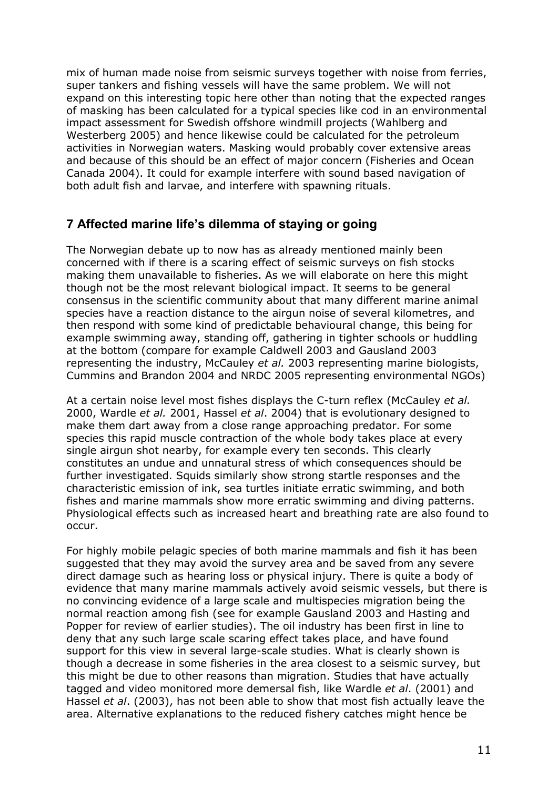mix of human made noise from seismic surveys together with noise from ferries, super tankers and fishing vessels will have the same problem. We will not expand on this interesting topic here other than noting that the expected ranges of masking has been calculated for a typical species like cod in an environmental impact assessment for Swedish offshore windmill projects (Wahlberg and Westerberg 2005) and hence likewise could be calculated for the petroleum activities in Norwegian waters. Masking would probably cover extensive areas and because of this should be an effect of major concern (Fisheries and Ocean Canada 2004). It could for example interfere with sound based navigation of both adult fish and larvae, and interfere with spawning rituals.

#### <span id="page-10-0"></span>**7 Affected marine life's dilemma of staying or going**

The Norwegian debate up to now has as already mentioned mainly been concerned with if there is a scaring effect of seismic surveys on fish stocks making them unavailable to fisheries. As we will elaborate on here this might though not be the most relevant biological impact. It seems to be general consensus in the scientific community about that many different marine animal species have a reaction distance to the airgun noise of several kilometres, and then respond with some kind of predictable behavioural change, this being for example swimming away, standing off, gathering in tighter schools or huddling at the bottom (compare for example Caldwell 2003 and Gausland 2003 representing the industry, McCauley *et al.* 2003 representing marine biologists, Cummins and Brandon 2004 and NRDC 2005 representing environmental NGOs)

At a certain noise level most fishes displays the C-turn reflex (McCauley *et al.* 2000, Wardle *et al.* 2001, Hassel *et al*. 2004) that is evolutionary designed to make them dart away from a close range approaching predator. For some species this rapid muscle contraction of the whole body takes place at every single airgun shot nearby, for example every ten seconds. This clearly constitutes an undue and unnatural stress of which consequences should be further investigated. Squids similarly show strong startle responses and the characteristic emission of ink, sea turtles initiate erratic swimming, and both fishes and marine mammals show more erratic swimming and diving patterns. Physiological effects such as increased heart and breathing rate are also found to occur.

For highly mobile pelagic species of both marine mammals and fish it has been suggested that they may avoid the survey area and be saved from any severe direct damage such as hearing loss or physical injury. There is quite a body of evidence that many marine mammals actively avoid seismic vessels, but there is no convincing evidence of a large scale and multispecies migration being the normal reaction among fish (see for example Gausland 2003 and Hasting and Popper for review of earlier studies). The oil industry has been first in line to deny that any such large scale scaring effect takes place, and have found support for this view in several large-scale studies. What is clearly shown is though a decrease in some fisheries in the area closest to a seismic survey, but this might be due to other reasons than migration. Studies that have actually tagged and video monitored more demersal fish, like Wardle *et al*. (2001) and Hassel *et al*. (2003), has not been able to show that most fish actually leave the area. Alternative explanations to the reduced fishery catches might hence be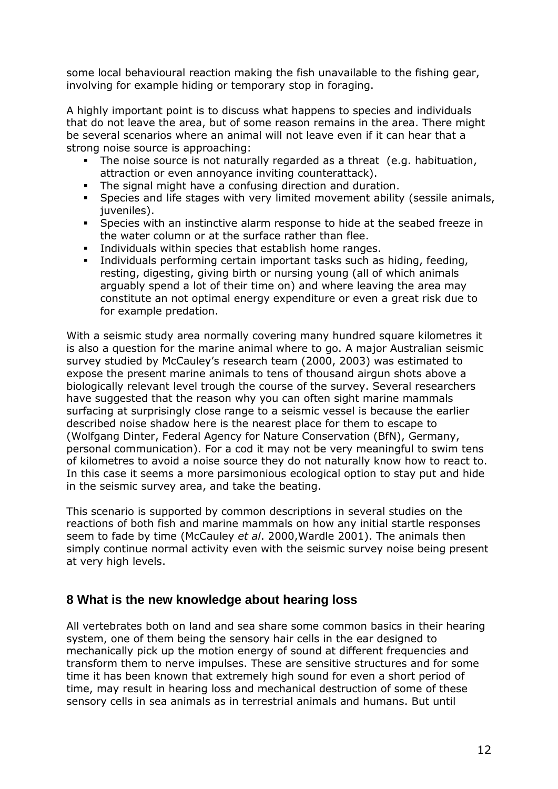some local behavioural reaction making the fish unavailable to the fishing gear, involving for example hiding or temporary stop in foraging.

A highly important point is to discuss what happens to species and individuals that do not leave the area, but of some reason remains in the area. There might be several scenarios where an animal will not leave even if it can hear that a strong noise source is approaching:

- The noise source is not naturally regarded as a threat (e.g. habituation, attraction or even annoyance inviting counterattack).
- The signal might have a confusing direction and duration.
- Species and life stages with very limited movement ability (sessile animals, juveniles).
- Species with an instinctive alarm response to hide at the seabed freeze in the water column or at the surface rather than flee.
- Individuals within species that establish home ranges.
- Individuals performing certain important tasks such as hiding, feeding, resting, digesting, giving birth or nursing young (all of which animals arguably spend a lot of their time on) and where leaving the area may constitute an not optimal energy expenditure or even a great risk due to for example predation.

With a seismic study area normally covering many hundred square kilometres it is also a question for the marine animal where to go. A major Australian seismic survey studied by McCauley's research team (2000, 2003) was estimated to expose the present marine animals to tens of thousand airgun shots above a biologically relevant level trough the course of the survey. Several researchers have suggested that the reason why you can often sight marine mammals surfacing at surprisingly close range to a seismic vessel is because the earlier described noise shadow here is the nearest place for them to escape to (Wolfgang Dinter, Federal Agency for Nature Conservation (BfN), Germany, personal communication). For a cod it may not be very meaningful to swim tens of kilometres to avoid a noise source they do not naturally know how to react to. In this case it seems a more parsimonious ecological option to stay put and hide in the seismic survey area, and take the beating.

This scenario is supported by common descriptions in several studies on the reactions of both fish and marine mammals on how any initial startle responses seem to fade by time (McCauley *et al*. 2000,Wardle 2001). The animals then simply continue normal activity even with the seismic survey noise being present at very high levels.

#### <span id="page-11-0"></span>**8 What is the new knowledge about hearing loss**

All vertebrates both on land and sea share some common basics in their hearing system, one of them being the sensory hair cells in the ear designed to mechanically pick up the motion energy of sound at different frequencies and transform them to nerve impulses. These are sensitive structures and for some time it has been known that extremely high sound for even a short period of time, may result in hearing loss and mechanical destruction of some of these sensory cells in sea animals as in terrestrial animals and humans. But until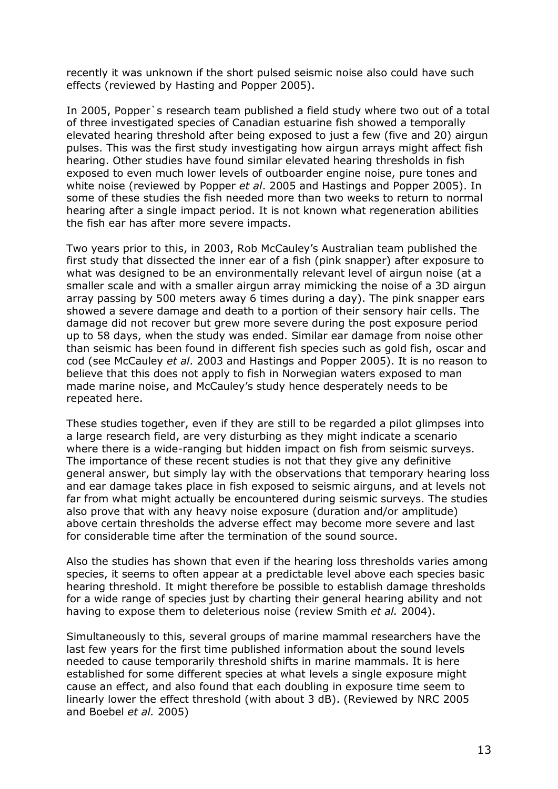recently it was unknown if the short pulsed seismic noise also could have such effects (reviewed by Hasting and Popper 2005).

In 2005, Popper`s research team published a field study where two out of a total of three investigated species of Canadian estuarine fish showed a temporally elevated hearing threshold after being exposed to just a few (five and 20) airgun pulses. This was the first study investigating how airgun arrays might affect fish hearing. Other studies have found similar elevated hearing thresholds in fish exposed to even much lower levels of outboarder engine noise, pure tones and white noise (reviewed by Popper *et al*. 2005 and Hastings and Popper 2005). In some of these studies the fish needed more than two weeks to return to normal hearing after a single impact period. It is not known what regeneration abilities the fish ear has after more severe impacts.

Two years prior to this, in 2003, Rob McCauley's Australian team published the first study that dissected the inner ear of a fish (pink snapper) after exposure to what was designed to be an environmentally relevant level of airgun noise (at a smaller scale and with a smaller airgun array mimicking the noise of a 3D airgun array passing by 500 meters away 6 times during a day). The pink snapper ears showed a severe damage and death to a portion of their sensory hair cells. The damage did not recover but grew more severe during the post exposure period up to 58 days, when the study was ended. Similar ear damage from noise other than seismic has been found in different fish species such as gold fish, oscar and cod (see McCauley *et al*. 2003 and Hastings and Popper 2005). It is no reason to believe that this does not apply to fish in Norwegian waters exposed to man made marine noise, and McCauley's study hence desperately needs to be repeated here.

These studies together, even if they are still to be regarded a pilot glimpses into a large research field, are very disturbing as they might indicate a scenario where there is a wide-ranging but hidden impact on fish from seismic surveys. The importance of these recent studies is not that they give any definitive general answer, but simply lay with the observations that temporary hearing loss and ear damage takes place in fish exposed to seismic airguns, and at levels not far from what might actually be encountered during seismic surveys. The studies also prove that with any heavy noise exposure (duration and/or amplitude) above certain thresholds the adverse effect may become more severe and last for considerable time after the termination of the sound source.

Also the studies has shown that even if the hearing loss thresholds varies among species, it seems to often appear at a predictable level above each species basic hearing threshold. It might therefore be possible to establish damage thresholds for a wide range of species just by charting their general hearing ability and not having to expose them to deleterious noise (review Smith *et al.* 2004).

Simultaneously to this, several groups of marine mammal researchers have the last few years for the first time published information about the sound levels needed to cause temporarily threshold shifts in marine mammals. It is here established for some different species at what levels a single exposure might cause an effect, and also found that each doubling in exposure time seem to linearly lower the effect threshold (with about 3 dB). (Reviewed by NRC 2005 and Boebel *et al.* 2005)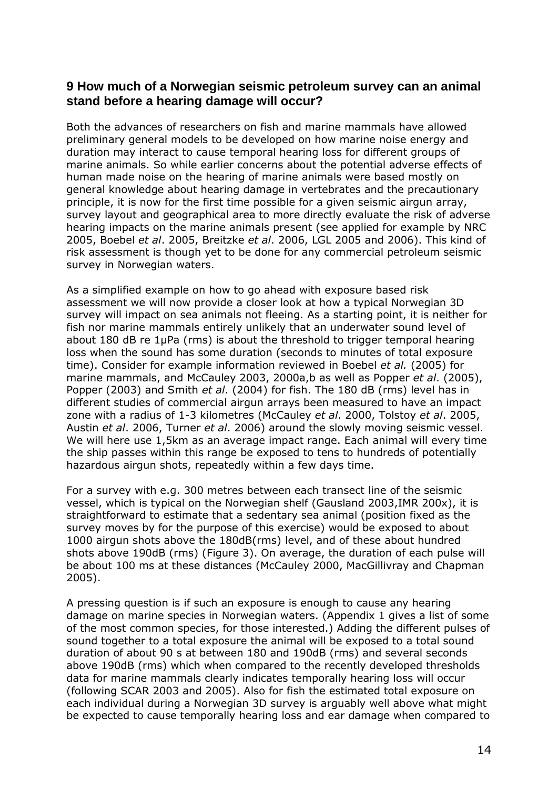#### <span id="page-13-0"></span>**9 How much of a Norwegian seismic petroleum survey can an animal stand before a hearing damage will occur?**

Both the advances of researchers on fish and marine mammals have allowed preliminary general models to be developed on how marine noise energy and duration may interact to cause temporal hearing loss for different groups of marine animals. So while earlier concerns about the potential adverse effects of human made noise on the hearing of marine animals were based mostly on general knowledge about hearing damage in vertebrates and the precautionary principle, it is now for the first time possible for a given seismic airgun array, survey layout and geographical area to more directly evaluate the risk of adverse hearing impacts on the marine animals present (see applied for example by NRC 2005, Boebel *et al*. 2005, Breitzke *et al*. 2006, LGL 2005 and 2006). This kind of risk assessment is though yet to be done for any commercial petroleum seismic survey in Norwegian waters.

As a simplified example on how to go ahead with exposure based risk assessment we will now provide a closer look at how a typical Norwegian 3D survey will impact on sea animals not fleeing. As a starting point, it is neither for fish nor marine mammals entirely unlikely that an underwater sound level of about 180 dB re 1µPa (rms) is about the threshold to trigger temporal hearing loss when the sound has some duration (seconds to minutes of total exposure time). Consider for example information reviewed in Boebel *et al.* (2005) for marine mammals, and McCauley 2003, 2000a,b as well as Popper *et al*. (2005), Popper (2003) and Smith *et al*. (2004) for fish. The 180 dB (rms) level has in different studies of commercial airgun arrays been measured to have an impact zone with a radius of 1-3 kilometres (McCauley *et al*. 2000, Tolstoy *et al*. 2005, Austin *et al*. 2006, Turner *et al*. 2006) around the slowly moving seismic vessel. We will here use 1,5km as an average impact range. Each animal will every time the ship passes within this range be exposed to tens to hundreds of potentially hazardous airgun shots, repeatedly within a few days time.

For a survey with e.g. 300 metres between each transect line of the seismic vessel, which is typical on the Norwegian shelf (Gausland 2003,IMR 200x), it is straightforward to estimate that a sedentary sea animal (position fixed as the survey moves by for the purpose of this exercise) would be exposed to about 1000 airgun shots above the 180dB(rms) level, and of these about hundred shots above 190dB (rms) (Figure 3). On average, the duration of each pulse will be about 100 ms at these distances (McCauley 2000, MacGillivray and Chapman 2005).

A pressing question is if such an exposure is enough to cause any hearing damage on marine species in Norwegian waters. (Appendix 1 gives a list of some of the most common species, for those interested.) Adding the different pulses of sound together to a total exposure the animal will be exposed to a total sound duration of about 90 s at between 180 and 190dB (rms) and several seconds above 190dB (rms) which when compared to the recently developed thresholds data for marine mammals clearly indicates temporally hearing loss will occur (following SCAR 2003 and 2005). Also for fish the estimated total exposure on each individual during a Norwegian 3D survey is arguably well above what might be expected to cause temporally hearing loss and ear damage when compared to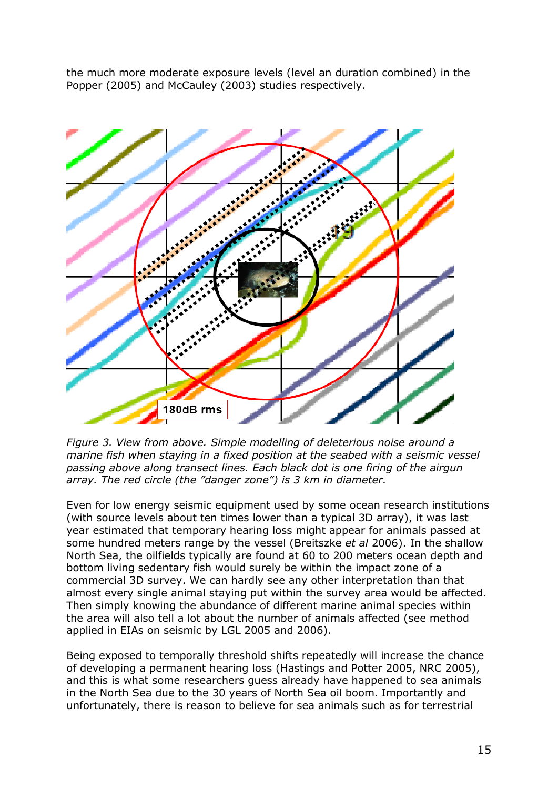the much more moderate exposure levels (level an duration combined) in the Popper (2005) and McCauley (2003) studies respectively.



*Figure 3. View from above. Simple modelling of deleterious noise around a marine fish when staying in a fixed position at the seabed with a seismic vessel passing above along transect lines. Each black dot is one firing of the airgun array. The red circle (the "danger zone") is 3 km in diameter.*

Even for low energy seismic equipment used by some ocean research institutions (with source levels about ten times lower than a typical 3D array), it was last year estimated that temporary hearing loss might appear for animals passed at some hundred meters range by the vessel (Breitszke *et al* 2006). In the shallow North Sea, the oilfields typically are found at 60 to 200 meters ocean depth and bottom living sedentary fish would surely be within the impact zone of a commercial 3D survey. We can hardly see any other interpretation than that almost every single animal staying put within the survey area would be affected. Then simply knowing the abundance of different marine animal species within the area will also tell a lot about the number of animals affected (see method applied in EIAs on seismic by LGL 2005 and 2006).

Being exposed to temporally threshold shifts repeatedly will increase the chance of developing a permanent hearing loss (Hastings and Potter 2005, NRC 2005), and this is what some researchers guess already have happened to sea animals in the North Sea due to the 30 years of North Sea oil boom. Importantly and unfortunately, there is reason to believe for sea animals such as for terrestrial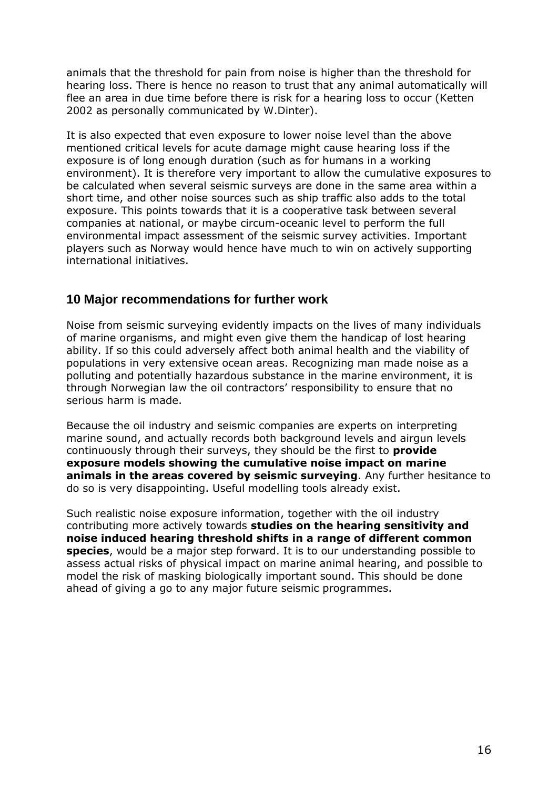animals that the threshold for pain from noise is higher than the threshold for hearing loss. There is hence no reason to trust that any animal automatically will flee an area in due time before there is risk for a hearing loss to occur (Ketten 2002 as personally communicated by W.Dinter).

It is also expected that even exposure to lower noise level than the above mentioned critical levels for acute damage might cause hearing loss if the exposure is of long enough duration (such as for humans in a working environment). It is therefore very important to allow the cumulative exposures to be calculated when several seismic surveys are done in the same area within a short time, and other noise sources such as ship traffic also adds to the total exposure. This points towards that it is a cooperative task between several companies at national, or maybe circum-oceanic level to perform the full environmental impact assessment of the seismic survey activities. Important players such as Norway would hence have much to win on actively supporting international initiatives.

#### <span id="page-15-0"></span>**10 Major recommendations for further work**

Noise from seismic surveying evidently impacts on the lives of many individuals of marine organisms, and might even give them the handicap of lost hearing ability. If so this could adversely affect both animal health and the viability of populations in very extensive ocean areas. Recognizing man made noise as a polluting and potentially hazardous substance in the marine environment, it is through Norwegian law the oil contractors' responsibility to ensure that no serious harm is made.

Because the oil industry and seismic companies are experts on interpreting marine sound, and actually records both background levels and airgun levels continuously through their surveys, they should be the first to **provide exposure models showing the cumulative noise impact on marine animals in the areas covered by seismic surveying**. Any further hesitance to do so is very disappointing. Useful modelling tools already exist.

Such realistic noise exposure information, together with the oil industry contributing more actively towards **studies on the hearing sensitivity and noise induced hearing threshold shifts in a range of different common species**, would be a major step forward. It is to our understanding possible to assess actual risks of physical impact on marine animal hearing, and possible to model the risk of masking biologically important sound. This should be done ahead of giving a go to any major future seismic programmes.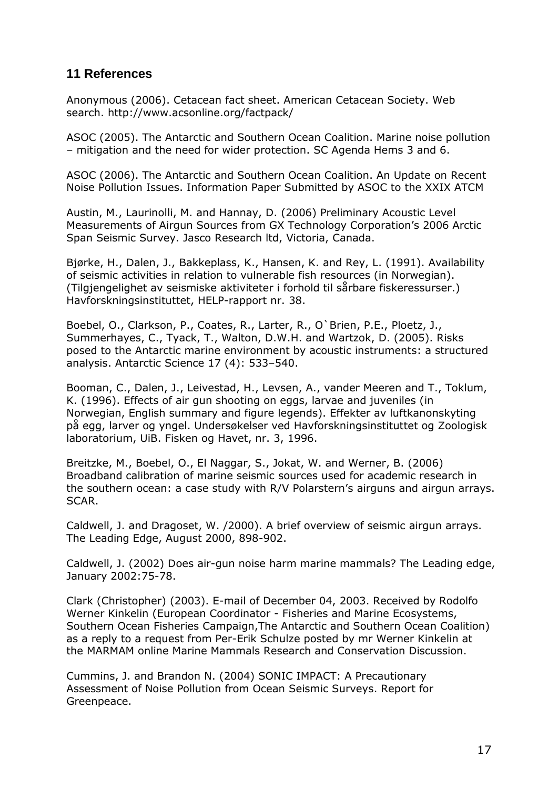# <span id="page-16-0"></span>**11 References**

Anonymous (2006). Cetacean fact sheet. American Cetacean Society. Web search. http://www.acsonline.org/factpack/

ASOC (2005). The Antarctic and Southern Ocean Coalition. Marine noise pollution – mitigation and the need for wider protection. SC Agenda Hems 3 and 6.

ASOC (2006). The Antarctic and Southern Ocean Coalition. An Update on Recent Noise Pollution Issues. Information Paper Submitted by ASOC to the XXIX ATCM

Austin, M., Laurinolli, M. and Hannay, D. (2006) Preliminary Acoustic Level Measurements of Airgun Sources from GX Technology Corporation's 2006 Arctic Span Seismic Survey. Jasco Research ltd, Victoria, Canada.

Bjørke, H., Dalen, J., Bakkeplass, K., Hansen, K. and Rey, L. (1991). Availability of seismic activities in relation to vulnerable fish resources (in Norwegian). (Tilgjengelighet av seismiske aktiviteter i forhold til sårbare fiskeressurser.) Havforskningsinstituttet, HELP-rapport nr. 38.

Boebel, O., Clarkson, P., Coates, R., Larter, R., O`Brien, P.E., Ploetz, J., Summerhayes, C., Tyack, T., Walton, D.W.H. and Wartzok, D. (2005). Risks posed to the Antarctic marine environment by acoustic instruments: a structured analysis. Antarctic Science 17 (4): 533–540.

Booman, C., Dalen, J., Leivestad, H., Levsen, A., vander Meeren and T., Toklum, K. (1996). Effects of air gun shooting on eggs, larvae and juveniles (in Norwegian, English summary and figure legends). Effekter av luftkanonskyting på egg, larver og yngel. Undersøkelser ved Havforskningsinstituttet og Zoologisk laboratorium, UiB. Fisken og Havet, nr. 3, 1996.

Breitzke, M., Boebel, O., El Naggar, S., Jokat, W. and Werner, B. (2006) Broadband calibration of marine seismic sources used for academic research in the southern ocean: a case study with R/V Polarstern's airguns and airgun arrays. SCAR.

Caldwell, J. and Dragoset, W. /2000). A brief overview of seismic airgun arrays. The Leading Edge, August 2000, 898-902.

Caldwell, J. (2002) Does air-gun noise harm marine mammals? The Leading edge, January 2002:75-78.

Clark (Christopher) (2003). E-mail of December 04, 2003. Received by Rodolfo Werner Kinkelin (European Coordinator - Fisheries and Marine Ecosystems, Southern Ocean Fisheries Campaign,The Antarctic and Southern Ocean Coalition) as a reply to a request from Per-Erik Schulze posted by mr Werner Kinkelin at the MARMAM online Marine Mammals Research and Conservation Discussion.

Cummins, J. and Brandon N. (2004) SONIC IMPACT: A Precautionary Assessment of Noise Pollution from Ocean Seismic Surveys. Report for Greenpeace.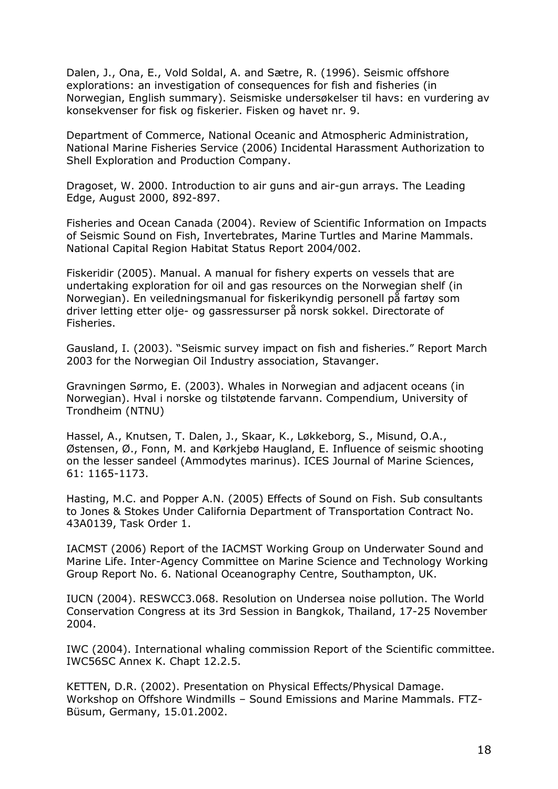Dalen, J., Ona, E., Vold Soldal, A. and Sætre, R. (1996). Seismic offshore explorations: an investigation of consequences for fish and fisheries (in Norwegian, English summary). Seismiske undersøkelser til havs: en vurdering av konsekvenser for fisk og fiskerier. Fisken og havet nr. 9.

Department of Commerce, National Oceanic and Atmospheric Administration, National Marine Fisheries Service (2006) Incidental Harassment Authorization to Shell Exploration and Production Company.

Dragoset, W. 2000. Introduction to air guns and air-gun arrays. The Leading Edge, August 2000, 892-897.

Fisheries and Ocean Canada (2004). Review of Scientific Information on Impacts of Seismic Sound on Fish, Invertebrates, Marine Turtles and Marine Mammals. National Capital Region Habitat Status Report 2004/002.

Fiskeridir (2005). Manual. A manual for fishery experts on vessels that are undertaking exploration for oil and gas resources on the Norwegian shelf (in Norwegian). En veiledningsmanual for fiskerikyndig personell på fartøy som driver letting etter olje- og gassressurser på norsk sokkel. Directorate of Fisheries.

Gausland, I. (2003). "Seismic survey impact on fish and fisheries." Report March 2003 for the Norwegian Oil Industry association, Stavanger.

Gravningen Sørmo, E. (2003). Whales in Norwegian and adjacent oceans (in Norwegian). Hval i norske og tilstøtende farvann. Compendium, University of Trondheim (NTNU)

Hassel, A., Knutsen, T. Dalen, J., Skaar, K., Løkkeborg, S., Misund, O.A., Østensen, Ø., Fonn, M. and Kørkjebø Haugland, E. Influence of seismic shooting on the lesser sandeel (Ammodytes marinus). ICES Journal of Marine Sciences, 61: 1165-1173.

Hasting, M.C. and Popper A.N. (2005) Effects of Sound on Fish. Sub consultants to Jones & Stokes Under California Department of Transportation Contract No. 43A0139, Task Order 1.

IACMST (2006) Report of the IACMST Working Group on Underwater Sound and Marine Life. Inter-Agency Committee on Marine Science and Technology Working Group Report No. 6. National Oceanography Centre, Southampton, UK.

IUCN (2004). RESWCC3.068. Resolution on Undersea noise pollution. The World Conservation Congress at its 3rd Session in Bangkok, Thailand, 17-25 November 2004.

IWC (2004). International whaling commission Report of the Scientific committee. IWC56SC Annex K. Chapt 12.2.5.

KETTEN, D.R. (2002). Presentation on Physical Effects/Physical Damage. Workshop on Offshore Windmills – Sound Emissions and Marine Mammals. FTZ-Büsum, Germany, 15.01.2002.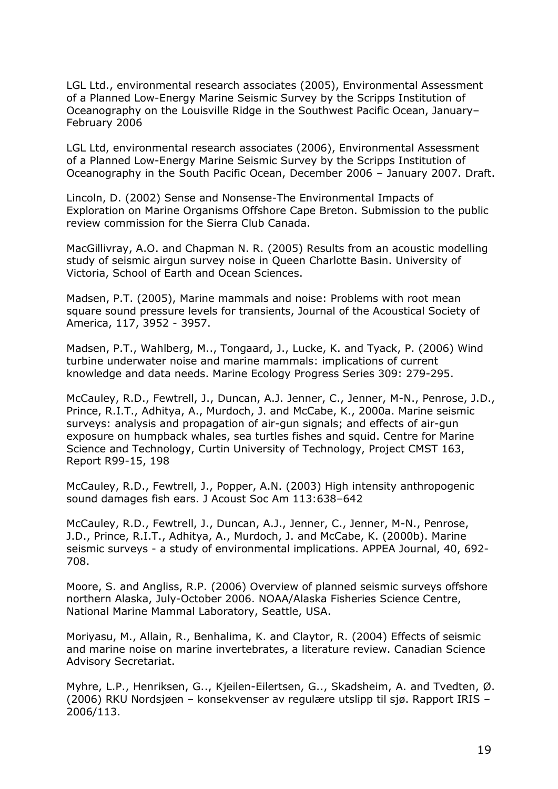LGL Ltd., environmental research associates (2005), Environmental Assessment of a Planned Low-Energy Marine Seismic Survey by the Scripps Institution of Oceanography on the Louisville Ridge in the Southwest Pacific Ocean, January– February 2006

LGL Ltd, environmental research associates (2006), Environmental Assessment of a Planned Low-Energy Marine Seismic Survey by the Scripps Institution of Oceanography in the South Pacific Ocean, December 2006 – January 2007. Draft.

Lincoln, D. (2002) Sense and Nonsense-The Environmental Impacts of Exploration on Marine Organisms Offshore Cape Breton. Submission to the public review commission for the Sierra Club Canada.

MacGillivray, A.O. and Chapman N. R. (2005) Results from an acoustic modelling study of seismic airgun survey noise in Queen Charlotte Basin. University of Victoria, School of Earth and Ocean Sciences.

Madsen, P.T. (2005), Marine mammals and noise: Problems with root mean square sound pressure levels for transients, Journal of the Acoustical Society of America, 117, 3952 - 3957.

Madsen, P.T., Wahlberg, M.., Tongaard, J., Lucke, K. and Tyack, P. (2006) Wind turbine underwater noise and marine mammals: implications of current knowledge and data needs. Marine Ecology Progress Series 309: 279-295.

McCauley, R.D., Fewtrell, J., Duncan, A.J. Jenner, C., Jenner, M-N., Penrose, J.D., Prince, R.I.T., Adhitya, A., Murdoch, J. and McCabe, K., 2000a. Marine seismic surveys: analysis and propagation of air-gun signals; and effects of air-gun exposure on humpback whales, sea turtles fishes and squid. Centre for Marine Science and Technology, Curtin University of Technology, Project CMST 163, Report R99-15, 198

McCauley, R.D., Fewtrell, J., Popper, A.N. (2003) High intensity anthropogenic sound damages fish ears. J Acoust Soc Am 113:638–642

McCauley, R.D., Fewtrell, J., Duncan, A.J., Jenner, C., Jenner, M-N., Penrose, J.D., Prince, R.I.T., Adhitya, A., Murdoch, J. and McCabe, K. (2000b). Marine seismic surveys - a study of environmental implications. APPEA Journal, 40, 692- 708.

Moore, S. and Angliss, R.P. (2006) Overview of planned seismic surveys offshore northern Alaska, July-October 2006. NOAA/Alaska Fisheries Science Centre, National Marine Mammal Laboratory, Seattle, USA.

Moriyasu, M., Allain, R., Benhalima, K. and Claytor, R. (2004) Effects of seismic and marine noise on marine invertebrates, a literature review. Canadian Science Advisory Secretariat.

Myhre, L.P., Henriksen, G.., Kjeilen-Eilertsen, G.., Skadsheim, A. and Tvedten, Ø. (2006) RKU Nordsjøen – konsekvenser av regulære utslipp til sjø. Rapport IRIS – 2006/113.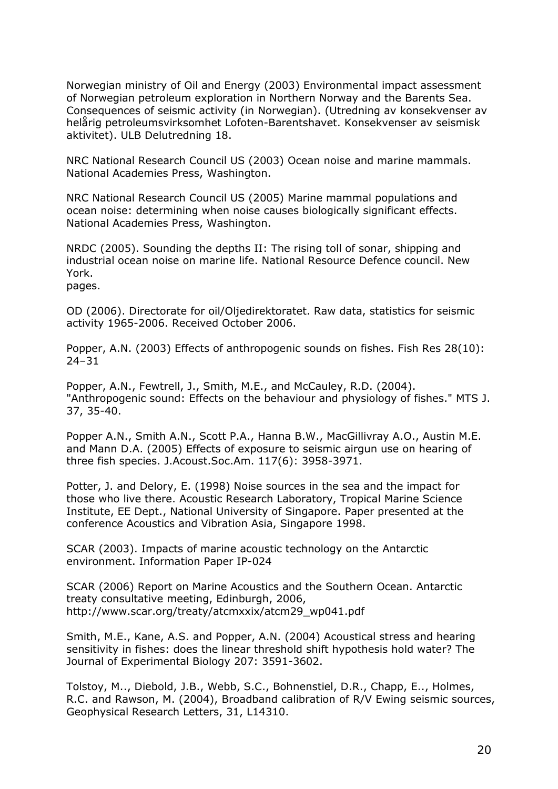Norwegian ministry of Oil and Energy (2003) Environmental impact assessment of Norwegian petroleum exploration in Northern Norway and the Barents Sea. Consequences of seismic activity (in Norwegian). (Utredning av konsekvenser av helårig petroleumsvirksomhet Lofoten-Barentshavet. Konsekvenser av seismisk aktivitet). ULB Delutredning 18.

NRC National Research Council US (2003) Ocean noise and marine mammals. National Academies Press, Washington.

NRC National Research Council US (2005) Marine mammal populations and ocean noise: determining when noise causes biologically significant effects. National Academies Press, Washington.

NRDC (2005). Sounding the depths II: The rising toll of sonar, shipping and industrial ocean noise on marine life. National Resource Defence council. New York.

pages.

OD (2006). Directorate for oil/Oljedirektoratet. Raw data, statistics for seismic activity 1965-2006. Received October 2006.

Popper, A.N. (2003) Effects of anthropogenic sounds on fishes. Fish Res 28(10): 24–31

Popper, A.N., Fewtrell, J., Smith, M.E., and McCauley, R.D. (2004). "Anthropogenic sound: Effects on the behaviour and physiology of fishes." MTS J. 37, 35-40.

Popper A.N., Smith A.N., Scott P.A., Hanna B.W., MacGillivray A.O., Austin M.E. and Mann D.A. (2005) Effects of exposure to seismic airgun use on hearing of three fish species. J.Acoust.Soc.Am. 117(6): 3958-3971.

Potter, J. and Delory, E. (1998) Noise sources in the sea and the impact for those who live there. Acoustic Research Laboratory, Tropical Marine Science Institute, EE Dept., National University of Singapore. Paper presented at the conference Acoustics and Vibration Asia, Singapore 1998.

SCAR (2003). Impacts of marine acoustic technology on the Antarctic environment. Information Paper IP-024

SCAR (2006) Report on Marine Acoustics and the Southern Ocean. Antarctic treaty consultative meeting, Edinburgh, 2006, http://www.scar.org/treaty/atcmxxix/atcm29\_wp041.pdf

Smith, M.E., Kane, A.S. and Popper, A.N. (2004) Acoustical stress and hearing sensitivity in fishes: does the linear threshold shift hypothesis hold water? The Journal of Experimental Biology 207: 3591-3602.

Tolstoy, M.., Diebold, J.B., Webb, S.C., Bohnenstiel, D.R., Chapp, E.., Holmes, R.C. and Rawson, M. (2004), Broadband calibration of R/V Ewing seismic sources, Geophysical Research Letters, 31, L14310.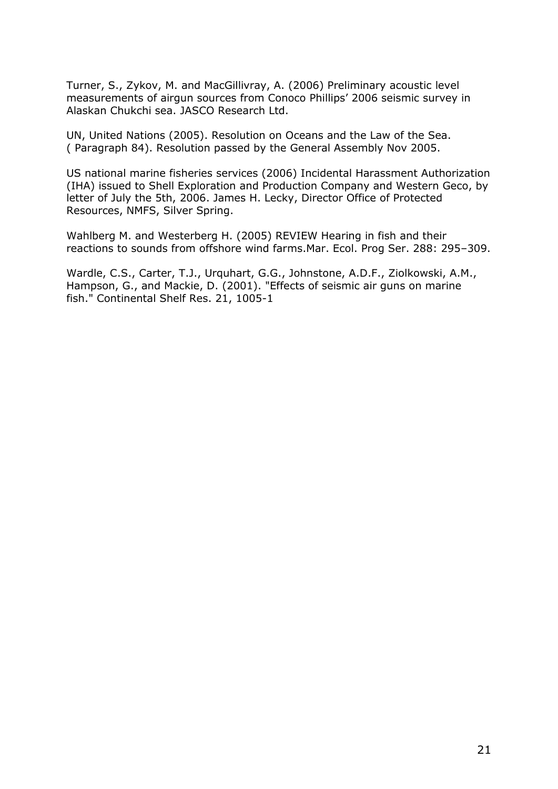Turner, S., Zykov, M. and MacGillivray, A. (2006) Preliminary acoustic level measurements of airgun sources from Conoco Phillips' 2006 seismic survey in Alaskan Chukchi sea. JASCO Research Ltd.

UN, United Nations (2005). Resolution on Oceans and the Law of the Sea. ( Paragraph 84). Resolution passed by the General Assembly Nov 2005.

US national marine fisheries services (2006) Incidental Harassment Authorization (IHA) issued to Shell Exploration and Production Company and Western Geco, by letter of July the 5th, 2006. James H. Lecky, Director Office of Protected Resources, NMFS, Silver Spring.

Wahlberg M. and Westerberg H. (2005) REVIEW Hearing in fish and their reactions to sounds from offshore wind farms.Mar. Ecol. Prog Ser. 288: 295–309.

Wardle, C.S., Carter, T.J., Urquhart, G.G., Johnstone, A.D.F., Ziolkowski, A.M., Hampson, G., and Mackie, D. (2001). "Effects of seismic air guns on marine fish." Continental Shelf Res. 21, 1005-1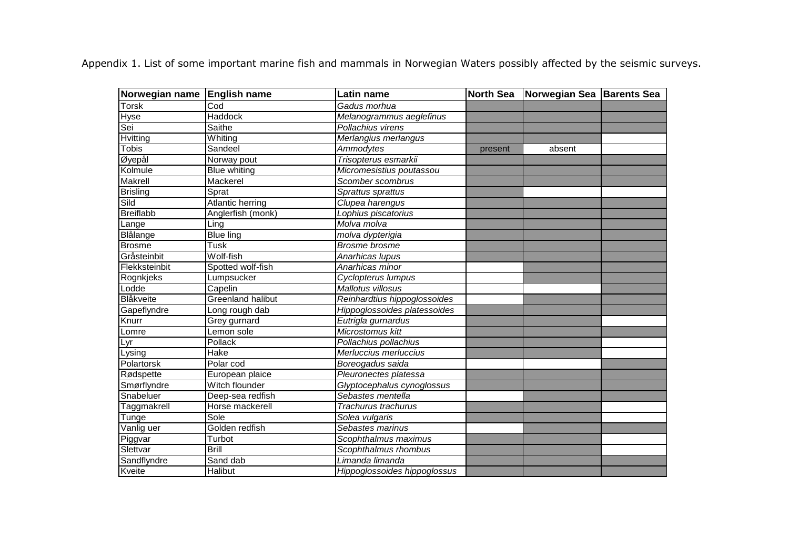Appendix 1. List of some important marine fish and mammals in Norwegian Waters possibly affected by the seismic surveys.

| Norwegian name English name |                          | Latin name                   | <b>North Sea</b> | Norwegian Sea Barents Sea |  |
|-----------------------------|--------------------------|------------------------------|------------------|---------------------------|--|
| Torsk                       | Cod                      | Gadus morhua                 |                  |                           |  |
| <b>Hyse</b>                 | <b>Haddock</b>           | Melanogrammus aeglefinus     |                  |                           |  |
| Sei                         | <b>Saithe</b>            | Pollachius virens            |                  |                           |  |
| Hvitting                    | Whiting                  | Merlangius merlangus         |                  |                           |  |
| <b>Tobis</b>                | Sandeel                  | <b>Ammodytes</b>             | present          | absent                    |  |
| Øyepål                      | Norway pout              | Trisopterus esmarkii         |                  |                           |  |
| Kolmule                     | <b>Blue whiting</b>      | Micromesistius poutassou     |                  |                           |  |
| <b>Makrell</b>              | Mackerel                 | Scomber scombrus             |                  |                           |  |
| <b>Brisling</b>             | Sprat                    | Sprattus sprattus            |                  |                           |  |
| Sild                        | <b>Atlantic herring</b>  | Clupea harengus              |                  |                           |  |
| <b>Breiflabb</b>            | Anglerfish (monk)        | Lophius piscatorius          |                  |                           |  |
| Lange                       | Ling                     | Molva molva                  |                  |                           |  |
| <b>Blålange</b>             | <b>Blue ling</b>         | molva dypterigia             |                  |                           |  |
| <b>Brosme</b>               | Tusk                     | <b>Brosme</b> brosme         |                  |                           |  |
| Gråsteinbit                 | Wolf-fish                | Anarhicas lupus              |                  |                           |  |
| Flekksteinbit               | Spotted wolf-fish        | Anarhicas minor              |                  |                           |  |
| Rognkjeks                   | Lumpsucker               | <b>Cyclopterus lumpus</b>    |                  |                           |  |
| Lodde                       | Capelin                  | <b>Mallotus villosus</b>     |                  |                           |  |
| Blåkveite                   | <b>Greenland halibut</b> | Reinhardtius hippoglossoides |                  |                           |  |
| Gapeflyndre                 | Long rough dab           | Hippoglossoides platessoides |                  |                           |  |
| Knurr                       | Grey gurnard             | Eutrigla gurnardus           |                  |                           |  |
| Lomre                       | Lemon sole               | Microstomus kitt             |                  |                           |  |
| Lyr                         | Pollack                  | Pollachius pollachius        |                  |                           |  |
| ysing_                      | Hake                     | Merluccius merluccius        |                  |                           |  |
| Polartorsk                  | Polar cod                | Boreogadus saida             |                  |                           |  |
| Rødspette                   | European plaice          | Pleuronectes platessa        |                  |                           |  |
| Smørflyndre                 | Witch flounder           | Glyptocephalus cynoglossus   |                  |                           |  |
| Snabeluer                   | Deep-sea redfish         | Sebastes mentella            |                  |                           |  |
| Taggmakrell                 | Horse mackerell          | Trachurus trachurus          |                  |                           |  |
| Tunge                       | Sole                     | Solea vulgaris               |                  |                           |  |
| Vanlig uer                  | Golden redfish           | Sebastes marinus             |                  |                           |  |
| Piggvar                     | Turbot                   | Scophthalmus maximus         |                  |                           |  |
| Slettvar                    | <b>Brill</b>             | Scophthalmus rhombus         |                  |                           |  |
| Sandflyndre                 | Sand dab                 | Limanda limanda              |                  |                           |  |
| Kveite                      | Halibut                  | Hippoglossoides hippoglossus |                  |                           |  |